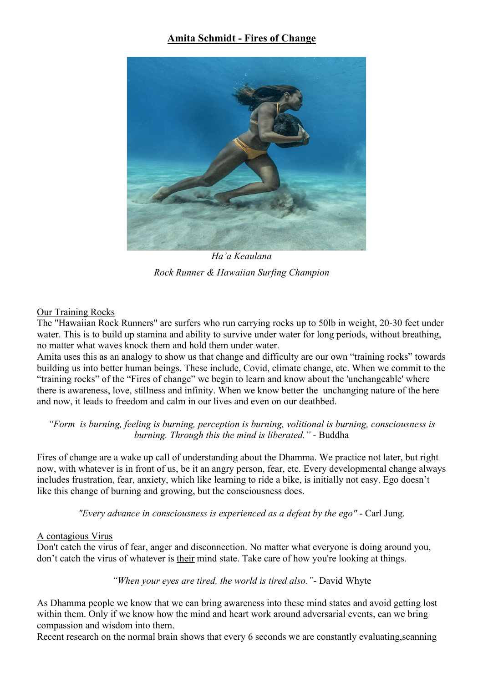# **Amita Schmidt - Fires of Change**



*Ha'a Keaulana Rock Runner & Hawaiian Surfing Champion*

# Our Training Rocks

The "Hawaiian Rock Runners" are surfers who run carrying rocks up to 50lb in weight, 20-30 feet under water. This is to build up stamina and ability to survive under water for long periods, without breathing, no matter what waves knock them and hold them under water.

Amita uses this as an analogy to show us that change and difficulty are our own "training rocks" towards building us into better human beings. These include, Covid, climate change, etc. When we commit to the "training rocks" of the "Fires of change" we begin to learn and know about the 'unchangeable' where there is awareness, love, stillness and infinity. When we know better the unchanging nature of the here and now, it leads to freedom and calm in our lives and even on our deathbed.

# *"Form is burning, feeling is burning, perception is burning, volitional is burning, consciousness is burning. Through this the mind is liberated."* - Buddha

Fires of change are a wake up call of understanding about the Dhamma. We practice not later, but right now, with whatever is in front of us, be it an angry person, fear, etc. Every developmental change always includes frustration, fear, anxiety, which like learning to ride a bike, is initially not easy. Ego doesn't like this change of burning and growing, but the consciousness does.

*"Every advance in consciousness is experienced as a defeat by the ego"* - Carl Jung.

# A contagious Virus

Don't catch the virus of fear, anger and disconnection. No matter what everyone is doing around you, don't catch the virus of whatever is their mind state. Take care of how you're looking at things.

*"When your eyes are tired, the world is tired also."*- David Whyte

As Dhamma people we know that we can bring awareness into these mind states and avoid getting lost within them. Only if we know how the mind and heart work around adversarial events, can we bring compassion and wisdom into them.

Recent research on the normal brain shows that every 6 seconds we are constantly evaluating,scanning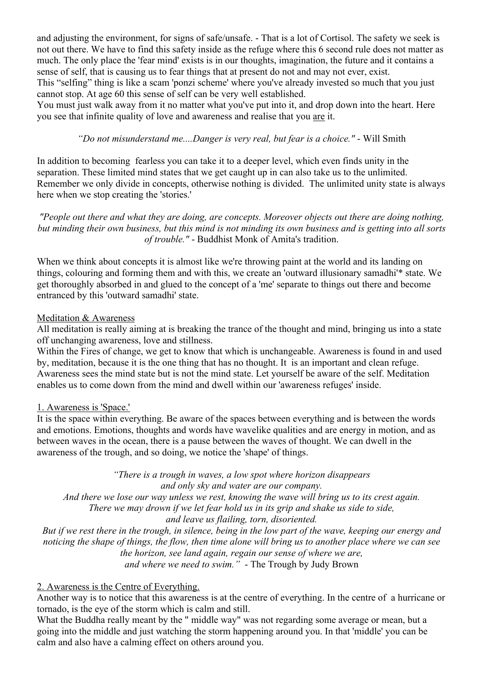and adjusting the environment, for signs of safe/unsafe. - That is a lot of Cortisol. The safety we seek is not out there. We have to find this safety inside as the refuge where this 6 second rule does not matter as much. The only place the 'fear mind' exists is in our thoughts, imagination, the future and it contains a sense of self, that is causing us to fear things that at present do not and may not ever, exist.

This "selfing" thing is like a scam 'ponzi scheme' where you've already invested so much that you just cannot stop. At age 60 this sense of self can be very well established.

You must just walk away from it no matter what you've put into it, and drop down into the heart. Here you see that infinite quality of love and awareness and realise that you are it.

*"Do not misunderstand me....Danger is very real, but fear is a choice."* - Will Smith

In addition to becoming fearless you can take it to a deeper level, which even finds unity in the separation. These limited mind states that we get caught up in can also take us to the unlimited. Remember we only divide in concepts, otherwise nothing is divided. The unlimited unity state is always here when we stop creating the 'stories.'

*"People out there and what they are doing, are concepts. Moreover objects out there are doing nothing, but minding their own business, but this mind is not minding its own business and is getting into all sorts of trouble."* - Buddhist Monk of Amita's tradition.

When we think about concepts it is almost like we're throwing paint at the world and its landing on things, colouring and forming them and with this, we create an 'outward illusionary samadhi'\* state. We get thoroughly absorbed in and glued to the concept of a 'me' separate to things out there and become entranced by this 'outward samadhi' state.

## Meditation & Awareness

All meditation is really aiming at is breaking the trance of the thought and mind, bringing us into a state off unchanging awareness, love and stillness.

Within the Fires of change, we get to know that which is unchangeable. Awareness is found in and used by, meditation, because it is the one thing that has no thought. It is an important and clean refuge. Awareness sees the mind state but is not the mind state. Let yourself be aware of the self. Meditation enables us to come down from the mind and dwell within our 'awareness refuges' inside.

### 1. Awareness is 'Space.'

It is the space within everything. Be aware of the spaces between everything and is between the words and emotions. Emotions, thoughts and words have wavelike qualities and are energy in motion, and as between waves in the ocean, there is a pause between the waves of thought. We can dwell in the awareness of the trough, and so doing, we notice the 'shape' of things.

*"There is a trough in waves, a low spot where horizon disappears and only sky and water are our company. And there we lose our way unless we rest, knowing the wave will bring us to its crest again. There we may drown if we let fear hold us in its grip and shake us side to side, and leave us flailing, torn, disoriented. But if we rest there in the trough, in silence, being in the low part of the wave, keeping our energy and* 

*noticing the shape of things, the flow, then time alone will bring us to another place where we can see the horizon, see land again, regain our sense of where we are, and where we need to swim."* - The Trough by Judy Brown

#### 2. Awareness is the Centre of Everything.

Another way is to notice that this awareness is at the centre of everything. In the centre of a hurricane or tornado, is the eye of the storm which is calm and still.

What the Buddha really meant by the " middle way" was not regarding some average or mean, but a going into the middle and just watching the storm happening around you. In that 'middle' you can be calm and also have a calming effect on others around you.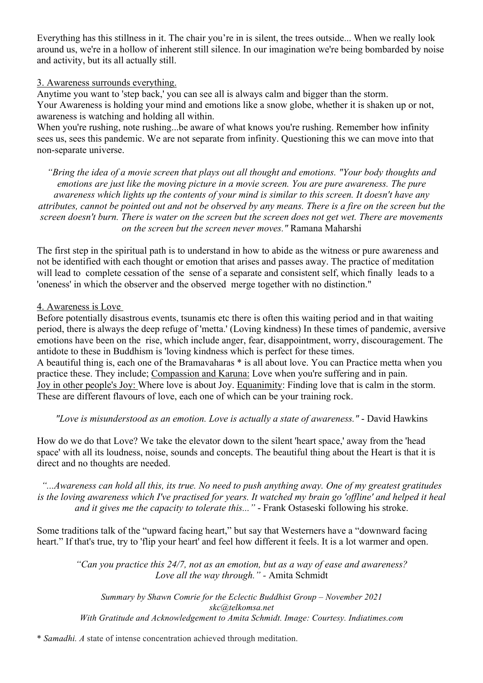Everything has this stillness in it. The chair you're in is silent, the trees outside... When we really look around us, we're in a hollow of inherent still silence. In our imagination we're being bombarded by noise and activity, but its all actually still.

#### 3. Awareness surrounds everything.

Anytime you want to 'step back,' you can see all is always calm and bigger than the storm. Your Awareness is holding your mind and emotions like a snow globe, whether it is shaken up or not, awareness is watching and holding all within.

When you're rushing, note rushing...be aware of what knows you're rushing. Remember how infinity sees us, sees this pandemic. We are not separate from infinity. Questioning this we can move into that non-separate universe.

*"Bring the idea of a movie screen that plays out all thought and emotions. "Your body thoughts and emotions are just like the moving picture in a movie screen. You are pure awareness. The pure awareness which lights up the contents of your mind is similar to this screen. It doesn't have any attributes, cannot be pointed out and not be observed by any means. There is a fire on the screen but the screen doesn't burn. There is water on the screen but the screen does not get wet. There are movements on the screen but the screen never moves."* Ramana Maharshi

The first step in the spiritual path is to understand in how to abide as the witness or pure awareness and not be identified with each thought or emotion that arises and passes away. The practice of meditation will lead to complete cessation of the sense of a separate and consistent self, which finally leads to a 'oneness' in which the observer and the observed merge together with no distinction."

## 4. Awareness is Love

Before potentially disastrous events, tsunamis etc there is often this waiting period and in that waiting period, there is always the deep refuge of 'metta.' (Loving kindness) In these times of pandemic, aversive emotions have been on the rise, which include anger, fear, disappointment, worry, discouragement. The antidote to these in Buddhism is 'loving kindness which is perfect for these times. A beautiful thing is, each one of the Bramavaharas \* is all about love. You can Practice metta when you practice these. They include; Compassion and Karuna: Love when you're suffering and in pain. Joy in other people's Joy: Where love is about Joy. Equanimity: Finding love that is calm in the storm. These are different flavours of love, each one of which can be your training rock.

*"Love is misunderstood as an emotion. Love is actually a state of awareness."* - David Hawkins

How do we do that Love? We take the elevator down to the silent 'heart space,' away from the 'head space' with all its loudness, noise, sounds and concepts. The beautiful thing about the Heart is that it is direct and no thoughts are needed.

*"...Awareness can hold all this, its true. No need to push anything away. One of my greatest gratitudes*  is the loving awareness which I've practised for years. It watched my brain go 'offline' and helped it heal *and it gives me the capacity to tolerate this..."* - Frank Ostaseski following his stroke.

Some traditions talk of the "upward facing heart," but say that Westerners have a "downward facing heart." If that's true, try to 'flip your heart' and feel how different it feels. It is a lot warmer and open.

*"Can you practice this 24/7, not as an emotion, but as a way of ease and awareness? Love all the way through." -* Amita Schmidt

*Summary by Shawn Comrie for the Eclectic Buddhist Group – November 2021 skc@telkomsa.net With Gratitude and Acknowledgement to Amita Schmidt. Image: Courtesy. Indiatimes.com*

\* *Samadhi. A* state of intense concentration achieved through meditation.